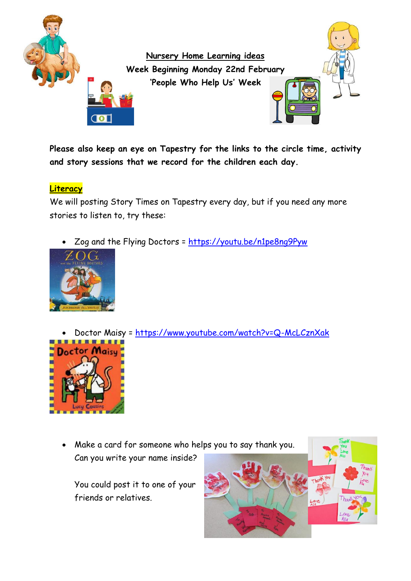

**Please also keep an eye on Tapestry for the links to the circle time, activity and story sessions that we record for the children each day.**

**Literacy**

We will posting Story Times on Tapestry every day, but if you need any more stories to listen to, try these:

Zog and the Flying Doctors =<https://youtu.be/n1pe8ng9Pyw>



Doctor Maisy = https://www.youtube.com/watch?v=Q-McLCznXak



 Make a card for someone who helps you to say thank you. Can you write your name inside?

You could post it to one of your friends or relatives.

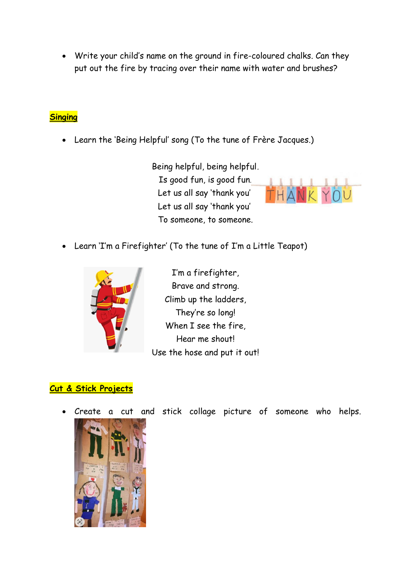Write your child's name on the ground in fire-coloured chalks. Can they put out the fire by tracing over their name with water and brushes?

### **Singing**

Learn the 'Being Helpful' song (To the tune of Frère Jacques.)

Being helpful, being helpful, Is good fun, is good fun. Let us all say 'thank you', Let us all say 'thank you', To someone, to someone.



Learn 'I'm a Firefighter' (To the tune of I'm a Little Teapot)



I'm a firefighter, Brave and strong. Climb up the ladders, They're so long! When I see the fire, Hear me shout! Use the hose and put it out!

# **Cut & Stick Projects**

Create a cut and stick collage picture of someone who helps.

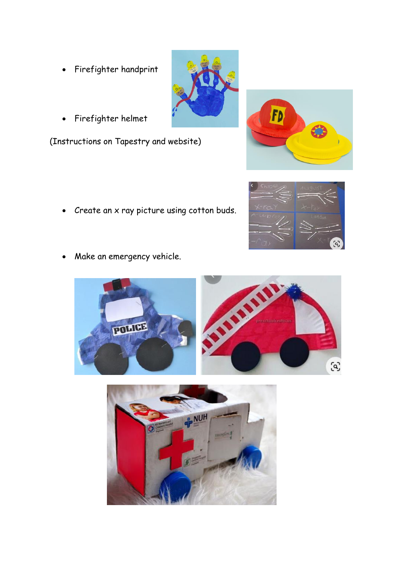- Firefighter handprint
- Firefighter helmet

(Instructions on Tapestry and website)

- Create an x ray picture using cotton buds.
- Make an emergency vehicle.
- 







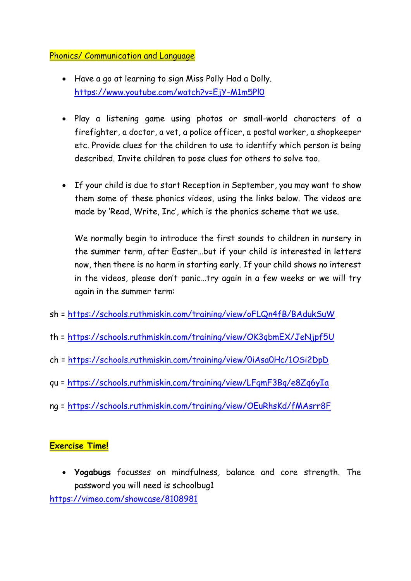#### Phonics/ Communication and Language

- Have a go at learning to sign Miss Polly Had a Dolly. <https://www.youtube.com/watch?v=EjY-M1m5Pl0>
- Play a listening game using photos or small-world characters of a firefighter, a doctor, a vet, a police officer, a postal worker, a shopkeeper etc. Provide clues for the children to use to identify which person is being described. Invite children to pose clues for others to solve too.
- If your child is due to start Reception in September, you may want to show them some of these phonics videos, using the links below. The videos are made by 'Read, Write, Inc', which is the phonics scheme that we use.

We normally begin to introduce the first sounds to children in nursery in the summer term, after Easter…but if your child is interested in letters now, then there is no harm in starting early. If your child shows no interest in the videos, please don't panic…try again in a few weeks or we will try again in the summer term:

- sh =<https://schools.ruthmiskin.com/training/view/oFLQn4fB/BAdukSuW>
- th =<https://schools.ruthmiskin.com/training/view/OK3qbmEX/JeNjpf5U>
- ch =<https://schools.ruthmiskin.com/training/view/0iAsa0Hc/1OSi2DpD>
- qu = https://schools.ruthmiskin.com/training/view/LFgmF3Bq/e8Zq6yIa
- ng = https://schools.ruthmiskin.com/training/view/OEuRhsKd/fMAsrr8F

#### **Exercise Time!**

 **Yogabugs** focusses on mindfulness, balance and core strength. The password you will need is schoolbug1

<https://vimeo.com/showcase/8108981>